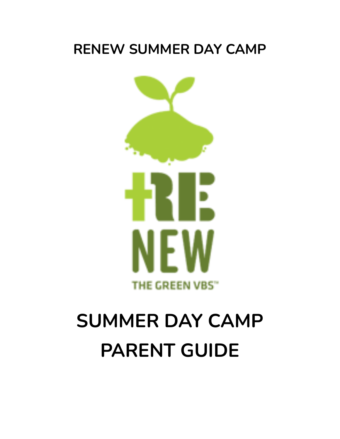# **RENEW SUMMER DAY CAMP**



# **SUMMER DAY CAMP PARENT GUIDE**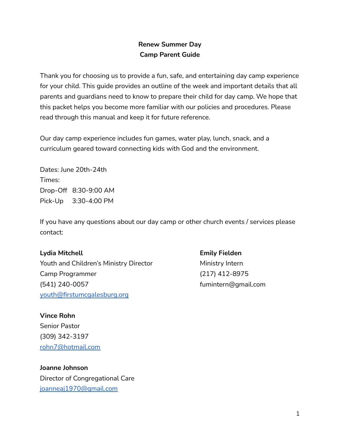# **Renew Summer Day Camp Parent Guide**

Thank you for choosing us to provide a fun, safe, and entertaining day camp experience for your child. This guide provides an outline of the week and important details that all parents and guardians need to know to prepare their child for day camp. We hope that this packet helps you become more familiar with our policies and procedures. Please read through this manual and keep it for future reference.

Our day camp experience includes fun games, water play, lunch, snack, and a curriculum geared toward connecting kids with God and the environment.

Dates: June 20th-24th Times: Drop-Off 8:30-9:00 AM Pick-Up 3:30-4:00 PM

If you have any questions about our day camp or other church events / services please contact:

#### **Lydia Mitchell Emily Fielden**

Youth and Children's Ministry Director Ministry Intern Camp Programmer (217) 412-8975 (541) 240-0057 fumintern@gmail.com [youth@firstumcgalesburg.org](mailto:youth@firstumcgalesburg.org)

**Vince Rohn** Senior Pastor (309) 342-3197 [rohn7@hotmail.com](mailto:rohn7@hotmail.com)

**Joanne Johnson** Director of Congregational Care [joanneaj1970@gmail.com](mailto:joanneaj1970@gmail.com)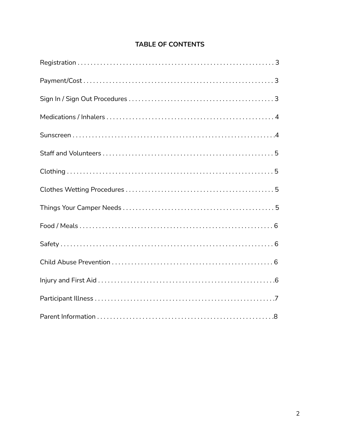# **TABLE OF CONTENTS**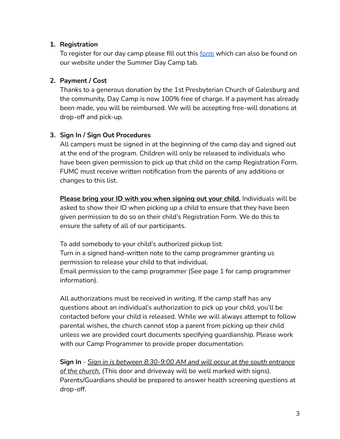#### **1. Registration**

To register for our day camp please fill out this [form](https://docs.google.com/forms/d/e/1FAIpQLSdkiDbG3Na-dPrwb9bEB4yBz3G5eVAYSiBV6IBXkohfry4hNA/viewform?usp=sf_link) which can also be found on our website under the Summer Day Camp tab.

# **2. Payment / Cost**

Thanks to a generous donation by the 1st Presbyterian Church of Galesburg and the community, Day Camp is now 100% free of charge. If a payment has already been made, you will be reimbursed. We will be accepting free-will donations at drop-off and pick-up.

# **3. Sign In / Sign Out Procedures**

All campers must be signed in at the beginning of the camp day and signed out at the end of the program. Children will only be released to individuals who have been given permission to pick up that child on the camp Registration Form. FUMC must receive written notification from the parents of any additions or changes to this list.

**Please bring your ID with you when signing out your child.** Individuals will be asked to show their ID when picking up a child to ensure that they have been given permission to do so on their child's Registration Form. We do this to ensure the safety of all of our participants.

To add somebody to your child's authorized pickup list: Turn in a signed hand-written note to the camp programmer granting us permission to release your child to that individual. Email permission to the camp programmer (See page 1 for camp programmer information).

All authorizations must be received in writing. If the camp staff has any questions about an individual's authorization to pick up your child, you'll be contacted before your child is released. While we will always attempt to follow parental wishes, the church cannot stop a parent from picking up their child unless we are provided court documents specifying guardianship. Please work with our Camp Programmer to provide proper documentation.

**Sign In** - *Sign in is between 8:30-9:00 AM and will occur at the south entrance of the church.* (This door and driveway will be well marked with signs). Parents/Guardians should be prepared to answer health screening questions at drop-off.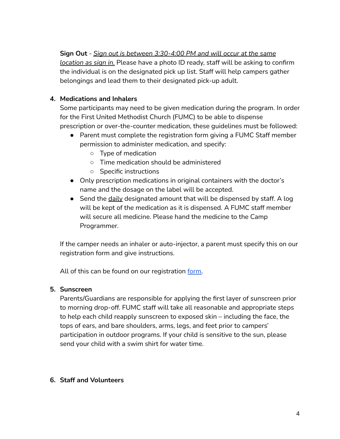# **Sign Out** - *Sign out is between 3:30-4:00 PM and will occur at the same*

*location as sign in.* Please have a photo ID ready, staff will be asking to confirm the individual is on the designated pick up list. Staff will help campers gather belongings and lead them to their designated pick-up adult.

#### **4. Medications and Inhalers**

Some participants may need to be given medication during the program. In order for the First United Methodist Church (FUMC) to be able to dispense prescription or over-the-counter medication, these guidelines must be followed:

- Parent must complete the registration form giving a FUMC Staff member permission to administer medication, and specify:
	- Type of medication
	- Time medication should be administered
	- Specific instructions
- Only prescription medications in original containers with the doctor's name and the dosage on the label will be accepted.
- Send the daily designated amount that will be dispensed by staff. A log will be kept of the medication as it is dispensed. A FUMC staff member will secure all medicine. Please hand the medicine to the Camp Programmer.

If the camper needs an inhaler or auto-injector, a parent must specify this on our registration form and give instructions.

All of this can be found on our registration [form.](https://docs.google.com/forms/d/e/1FAIpQLSdkiDbG3Na-dPrwb9bEB4yBz3G5eVAYSiBV6IBXkohfry4hNA/viewform?usp=sf_link)

#### **5. Sunscreen**

Parents/Guardians are responsible for applying the first layer of sunscreen prior to morning drop-off. FUMC staff will take all reasonable and appropriate steps to help each child reapply sunscreen to exposed skin – including the face, the tops of ears, and bare shoulders, arms, legs, and feet prior to campers' participation in outdoor programs. If your child is sensitive to the sun, please send your child with a swim shirt for water time.

#### **6. Staff and Volunteers**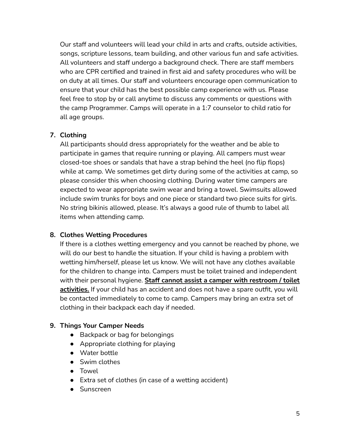Our staff and volunteers will lead your child in arts and crafts, outside activities, songs, scripture lessons, team building, and other various fun and safe activities. All volunteers and staff undergo a background check. There are staff members who are CPR certified and trained in first aid and safety procedures who will be on duty at all times. Our staff and volunteers encourage open communication to ensure that your child has the best possible camp experience with us. Please feel free to stop by or call anytime to discuss any comments or questions with the camp Programmer. Camps will operate in a 1:7 counselor to child ratio for all age groups.

# **7. Clothing**

All participants should dress appropriately for the weather and be able to participate in games that require running or playing. All campers must wear closed-toe shoes or sandals that have a strap behind the heel (no flip flops) while at camp. We sometimes get dirty during some of the activities at camp, so please consider this when choosing clothing. During water time campers are expected to wear appropriate swim wear and bring a towel. Swimsuits allowed include swim trunks for boys and one piece or standard two piece suits for girls. No string bikinis allowed, please. It's always a good rule of thumb to label all items when attending camp.

# **8. Clothes Wetting Procedures**

If there is a clothes wetting emergency and you cannot be reached by phone, we will do our best to handle the situation. If your child is having a problem with wetting him/herself, please let us know. We will not have any clothes available for the children to change into. Campers must be toilet trained and independent with their personal hygiene. **Staff cannot assist a camper with restroom / toilet activities.** If your child has an accident and does not have a spare outfit, you will be contacted immediately to come to camp. Campers may bring an extra set of clothing in their backpack each day if needed.

#### **9. Things Your Camper Needs**

- Backpack or bag for belongings
- Appropriate clothing for playing
- Water bottle
- Swim clothes
- Towel
- Extra set of clothes (in case of a wetting accident)
- Sunscreen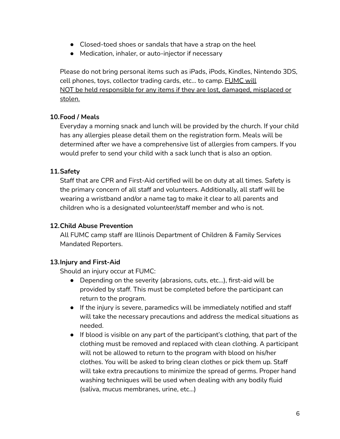- Closed-toed shoes or sandals that have a strap on the heel
- Medication, inhaler, or auto-injector if necessary

Please do not bring personal items such as iPads, iPods, Kindles, Nintendo 3DS, cell phones, toys, collector trading cards, etc... to camp. FUMC will NOT be held responsible for any items if they are lost, damaged, misplaced or stolen.

# **10.Food / Meals**

Everyday a morning snack and lunch will be provided by the church. If your child has any allergies please detail them on the registration form. Meals will be determined after we have a comprehensive list of allergies from campers. If you would prefer to send your child with a sack lunch that is also an option.

# **11.Safety**

Staff that are CPR and First-Aid certified will be on duty at all times. Safety is the primary concern of all staff and volunteers. Additionally, all staff will be wearing a wristband and/or a name tag to make it clear to all parents and children who is a designated volunteer/staff member and who is not.

#### **12.Child Abuse Prevention**

All FUMC camp staff are Illinois Department of Children & Family Services Mandated Reporters.

# **13.Injury and First-Aid**

Should an injury occur at FUMC:

- Depending on the severity (abrasions, cuts, etc…), first-aid will be provided by staff. This must be completed before the participant can return to the program.
- If the injury is severe, paramedics will be immediately notified and staff will take the necessary precautions and address the medical situations as needed.
- If blood is visible on any part of the participant's clothing, that part of the clothing must be removed and replaced with clean clothing. A participant will not be allowed to return to the program with blood on his/her clothes. You will be asked to bring clean clothes or pick them up. Staff will take extra precautions to minimize the spread of germs. Proper hand washing techniques will be used when dealing with any bodily fluid (saliva, mucus membranes, urine, etc…)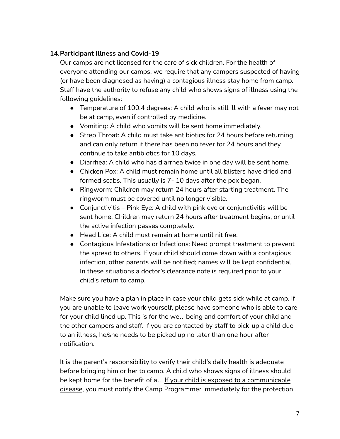# **14.Participant Illness and Covid-19**

Our camps are not licensed for the care of sick children. For the health of everyone attending our camps, we require that any campers suspected of having (or have been diagnosed as having) a contagious illness stay home from camp. Staff have the authority to refuse any child who shows signs of illness using the following guidelines:

- Temperature of 100.4 degrees: A child who is still ill with a fever may not be at camp, even if controlled by medicine.
- Vomiting: A child who vomits will be sent home immediately.
- Strep Throat: A child must take antibiotics for 24 hours before returning, and can only return if there has been no fever for 24 hours and they continue to take antibiotics for 10 days.
- Diarrhea: A child who has diarrhea twice in one day will be sent home.
- Chicken Pox: A child must remain home until all blisters have dried and formed scabs. This usually is 7- 10 days after the pox began.
- Ringworm: Children may return 24 hours after starting treatment. The ringworm must be covered until no longer visible.
- $\bullet$  Conjunctivitis Pink Eye: A child with pink eye or conjunctivitis will be sent home. Children may return 24 hours after treatment begins, or until the active infection passes completely.
- Head Lice: A child must remain at home until nit free.
- Contagious Infestations or Infections: Need prompt treatment to prevent the spread to others. If your child should come down with a contagious infection, other parents will be notified; names will be kept confidential. In these situations a doctor's clearance note is required prior to your child's return to camp.

Make sure you have a plan in place in case your child gets sick while at camp. If you are unable to leave work yourself, please have someone who is able to care for your child lined up. This is for the well-being and comfort of your child and the other campers and staff. If you are contacted by staff to pick-up a child due to an illness, he/she needs to be picked up no later than one hour after notification.

It is the parent's responsibility to verify their child's daily health is adequate before bringing him or her to camp. A child who shows signs of illness should be kept home for the benefit of all. If your child is exposed to a communicable disease, you must notify the Camp Programmer immediately for the protection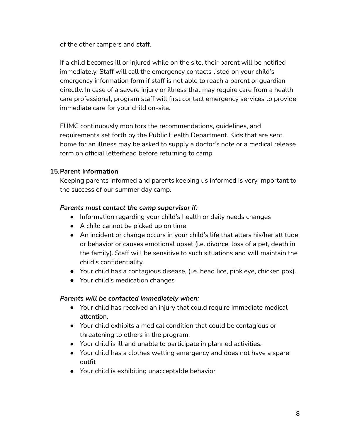of the other campers and staff.

If a child becomes ill or injured while on the site, their parent will be notified immediately. Staff will call the emergency contacts listed on your child's emergency information form if staff is not able to reach a parent or guardian directly. In case of a severe injury or illness that may require care from a health care professional, program staff will first contact emergency services to provide immediate care for your child on-site.

FUMC continuously monitors the recommendations, guidelines, and requirements set forth by the Public Health Department. Kids that are sent home for an illness may be asked to supply a doctor's note or a medical release form on official letterhead before returning to camp.

#### **15.Parent Information**

Keeping parents informed and parents keeping us informed is very important to the success of our summer day camp.

#### *Parents must contact the camp supervisor if:*

- Information regarding your child's health or daily needs changes
- A child cannot be picked up on time
- An incident or change occurs in your child's life that alters his/her attitude or behavior or causes emotional upset (i.e. divorce, loss of a pet, death in the family). Staff will be sensitive to such situations and will maintain the child's confidentiality.
- Your child has a contagious disease, (i.e. head lice, pink eye, chicken pox).
- Your child's medication changes

#### *Parents will be contacted immediately when:*

- Your child has received an injury that could require immediate medical attention.
- Your child exhibits a medical condition that could be contagious or threatening to others in the program.
- Your child is ill and unable to participate in planned activities.
- Your child has a clothes wetting emergency and does not have a spare outfit
- Your child is exhibiting unacceptable behavior